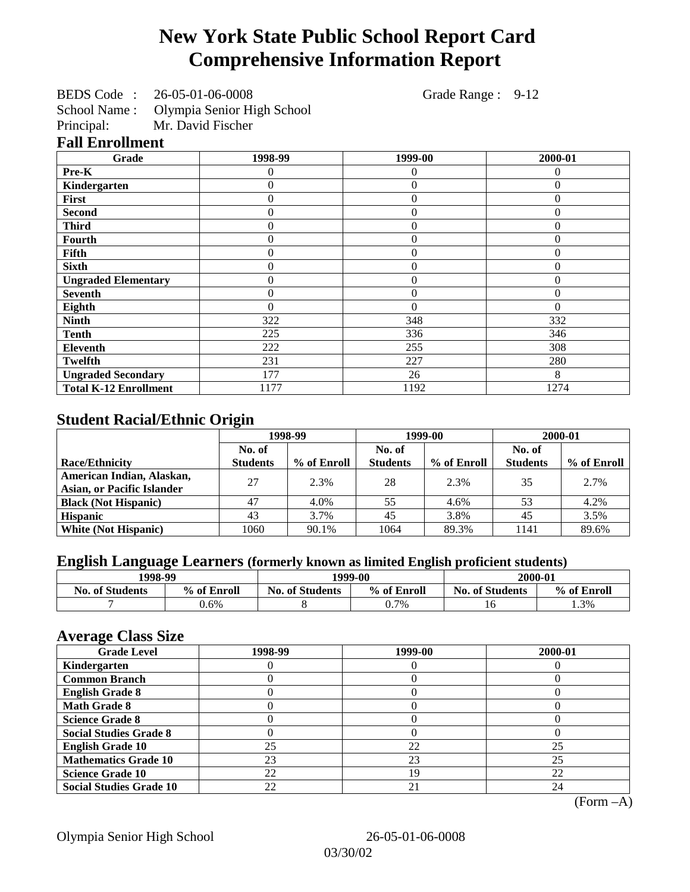# **New York State Public School Report Card Comprehensive Information Report**

BEDS Code : 26-05-01-06-0008 Grade Range : 9-12

School Name : Olympia Senior High School<br>Principal: Mr. David Fischer

Mr. David Fischer

## **Fall Enrollment**

| Grade                        | 1998-99        | 1999-00        | 2000-01  |
|------------------------------|----------------|----------------|----------|
| Pre-K                        | 0              | 0              | 0        |
| Kindergarten                 | 0              | $\overline{0}$ | $\Omega$ |
| First                        | $\overline{0}$ | $\overline{0}$ | $\theta$ |
| <b>Second</b>                | $\theta$       | $\theta$       | $\Omega$ |
| <b>Third</b>                 | 0              | $\theta$       | $\Omega$ |
| <b>Fourth</b>                | 0              | $\theta$       | $\Omega$ |
| Fifth                        | 0              | 0              | $\theta$ |
| <b>Sixth</b>                 | 0              | $\theta$       | $\theta$ |
| <b>Ungraded Elementary</b>   | 0              | $\overline{0}$ | $\theta$ |
| <b>Seventh</b>               | 0              | $\overline{0}$ | $\theta$ |
| Eighth                       | $\theta$       | $\Omega$       | $\Omega$ |
| <b>Ninth</b>                 | 322            | 348            | 332      |
| <b>Tenth</b>                 | 225            | 336            | 346      |
| <b>Eleventh</b>              | 222            | 255            | 308      |
| <b>Twelfth</b>               | 231            | 227            | 280      |
| <b>Ungraded Secondary</b>    | 177            | 26             | 8        |
| <b>Total K-12 Enrollment</b> | 1177           | 1192           | 1274     |

## **Student Racial/Ethnic Origin**

|                                                                | 1998-99         |             | 1999-00         |             | 2000-01         |             |
|----------------------------------------------------------------|-----------------|-------------|-----------------|-------------|-----------------|-------------|
|                                                                | No. of          |             | No. of          |             | No. of          |             |
| <b>Race/Ethnicity</b>                                          | <b>Students</b> | % of Enroll | <b>Students</b> | % of Enroll | <b>Students</b> | % of Enroll |
| American Indian, Alaskan,<br><b>Asian, or Pacific Islander</b> | 27              | 2.3%        | 28              | 2.3%        | 35              | 2.7%        |
| <b>Black (Not Hispanic)</b>                                    | 47              | 4.0%        | 55              | 4.6%        | 53              | 4.2%        |
| <b>Hispanic</b>                                                | 43              | 3.7%        | 45              | 3.8%        | 45              | 3.5%        |
| <b>White (Not Hispanic)</b>                                    | 1060            | 90.1%       | 1064            | 89.3%       | 1141            | 89.6%       |

## **English Language Learners (formerly known as limited English proficient students)**

|                        | 1998-99<br>1999-00 |                        | 2000-01     |                        |             |
|------------------------|--------------------|------------------------|-------------|------------------------|-------------|
| <b>No. of Students</b> | % of Enroll        | <b>No. of Students</b> | % of Enroll | <b>No. of Students</b> | % of Enroll |
|                        | $0.6\%$            |                        | 0.7%        |                        | 1.3%        |

### **Average Class Size**

| <b>Grade Level</b>             | 1998-99 | 1999-00 | 2000-01 |
|--------------------------------|---------|---------|---------|
| Kindergarten                   |         |         |         |
| <b>Common Branch</b>           |         |         |         |
| <b>English Grade 8</b>         |         |         |         |
| <b>Math Grade 8</b>            |         |         |         |
| <b>Science Grade 8</b>         |         |         |         |
| <b>Social Studies Grade 8</b>  |         |         |         |
| <b>English Grade 10</b>        | 25      | 22      | 25      |
| <b>Mathematics Grade 10</b>    | 23      | 23      | 25      |
| <b>Science Grade 10</b>        | 22      | 19      | 22      |
| <b>Social Studies Grade 10</b> | 22      | 21      | 24      |

(Form –A)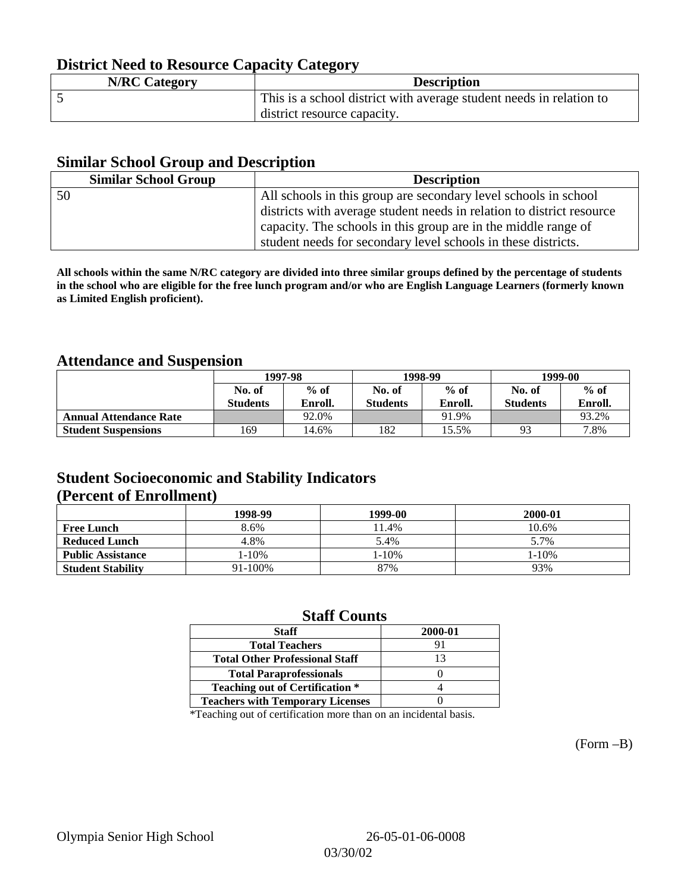## **District Need to Resource Capacity Category**

| <b>N/RC Category</b> | <b>Description</b>                                                  |
|----------------------|---------------------------------------------------------------------|
|                      | This is a school district with average student needs in relation to |
|                      | district resource capacity.                                         |

### **Similar School Group and Description**

| <b>Similar School Group</b> | <b>Description</b>                                                    |
|-----------------------------|-----------------------------------------------------------------------|
| 50                          | All schools in this group are secondary level schools in school       |
|                             | districts with average student needs in relation to district resource |
|                             | capacity. The schools in this group are in the middle range of        |
|                             | student needs for secondary level schools in these districts.         |

**All schools within the same N/RC category are divided into three similar groups defined by the percentage of students in the school who are eligible for the free lunch program and/or who are English Language Learners (formerly known as Limited English proficient).**

### **Attendance and Suspension**

|                               |                 | 1997-98 |                 | 1998-99 | 1999-00         |         |
|-------------------------------|-----------------|---------|-----------------|---------|-----------------|---------|
|                               | No. of          | $%$ of  | No. of          | $%$ of  | No. of          | $%$ of  |
|                               | <b>Students</b> | Enroll. | <b>Students</b> | Enroll. | <b>Students</b> | Enroll. |
| <b>Annual Attendance Rate</b> |                 | 92.0%   |                 | 91.9%   |                 | 93.2%   |
| <b>Student Suspensions</b>    | 169             | 14.6%   | 182             | 15.5%   | 93              | 7.8%    |

## **Student Socioeconomic and Stability Indicators (Percent of Enrollment)**

|                          | 1998-99    | 1999-00 | 2000-01 |
|--------------------------|------------|---------|---------|
| <b>Free Lunch</b>        | 8.6%       | 11.4%   | 10.6%   |
| <b>Reduced Lunch</b>     | 4.8%       | 5.4%    | 5.7%    |
| <b>Public Assistance</b> | $1 - 10\%$ | 1-10%   | 1-10%   |
| <b>Student Stability</b> | 91-100%    | 87%     | 93%     |

### **Staff Counts**

| <b>Staff</b>                            | 2000-01 |
|-----------------------------------------|---------|
| <b>Total Teachers</b>                   | 91      |
| <b>Total Other Professional Staff</b>   | 13      |
| <b>Total Paraprofessionals</b>          |         |
| <b>Teaching out of Certification *</b>  |         |
| <b>Teachers with Temporary Licenses</b> |         |

\*Teaching out of certification more than on an incidental basis.

(Form –B)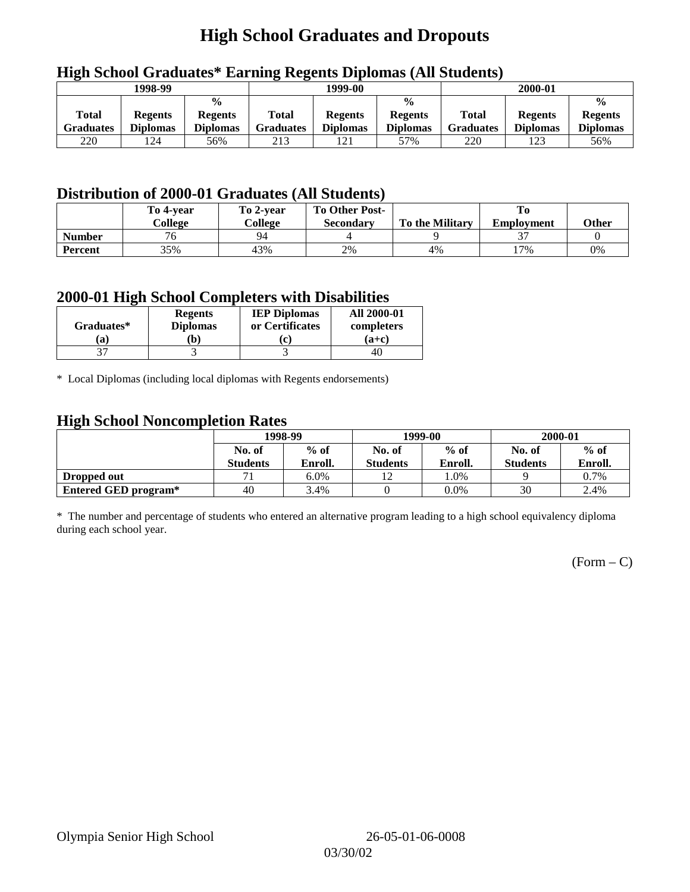# **High School Graduates and Dropouts**

|                           | 1998-99                           |                                                    | 1999-00                   |                                   |                                                    | 2000-01                          |                                   |                                                    |
|---------------------------|-----------------------------------|----------------------------------------------------|---------------------------|-----------------------------------|----------------------------------------------------|----------------------------------|-----------------------------------|----------------------------------------------------|
| Total<br><b>Graduates</b> | <b>Regents</b><br><b>Diplomas</b> | $\frac{6}{6}$<br><b>Regents</b><br><b>Diplomas</b> | Total<br><b>Graduates</b> | <b>Regents</b><br><b>Diplomas</b> | $\frac{0}{0}$<br><b>Regents</b><br><b>Diplomas</b> | <b>Total</b><br><b>Graduates</b> | <b>Regents</b><br><b>Diplomas</b> | $\frac{0}{0}$<br><b>Regents</b><br><b>Diplomas</b> |
| 220                       | 124                               | 56%                                                | 213                       | 121                               | 57%                                                | 220                              | 123                               | 56%                                                |

## **High School Graduates\* Earning Regents Diplomas (All Students)**

## **Distribution of 2000-01 Graduates (All Students)**

|                | To 4-vear    | To 2-year | <b>To Other Post-</b> |                        |                   |       |
|----------------|--------------|-----------|-----------------------|------------------------|-------------------|-------|
|                | College      | College   | <b>Secondary</b>      | <b>To the Military</b> | <b>Employment</b> | Other |
| <b>Number</b>  | $\sim$<br>′б | 94        |                       |                        |                   |       |
| <b>Percent</b> | 35%          | 43%       | 2%                    | 4%                     | $17\%$            | 0%    |

### **2000-01 High School Completers with Disabilities**

| Graduates* | <b>Regents</b><br><b>Diplomas</b> | <b>IEP Diplomas</b><br>or Certificates | <b>All 2000-01</b><br>completers |
|------------|-----------------------------------|----------------------------------------|----------------------------------|
| a          | b)                                | $\mathbf{r}$                           | $(a+c)$                          |
|            |                                   |                                        | 40                               |

\* Local Diplomas (including local diplomas with Regents endorsements)

## **High School Noncompletion Rates**

| $\tilde{\phantom{a}}$ | 1998-99<br>$%$ of<br>No. of |         |                 | 1999-00 | 2000-01         |         |
|-----------------------|-----------------------------|---------|-----------------|---------|-----------------|---------|
|                       |                             |         | No. of          | $%$ of  | No. of          | $%$ of  |
|                       | <b>Students</b>             | Enroll. | <b>Students</b> | Enroll. | <b>Students</b> | Enroll. |
| Dropped out           | $\overline{\phantom{a}}$    | 6.0%    |                 | .0%     |                 | 0.7%    |
| Entered GED program*  | 40                          | 3.4%    |                 | $0.0\%$ | 30              | 2.4%    |

\* The number and percentage of students who entered an alternative program leading to a high school equivalency diploma during each school year.

 $(Form - C)$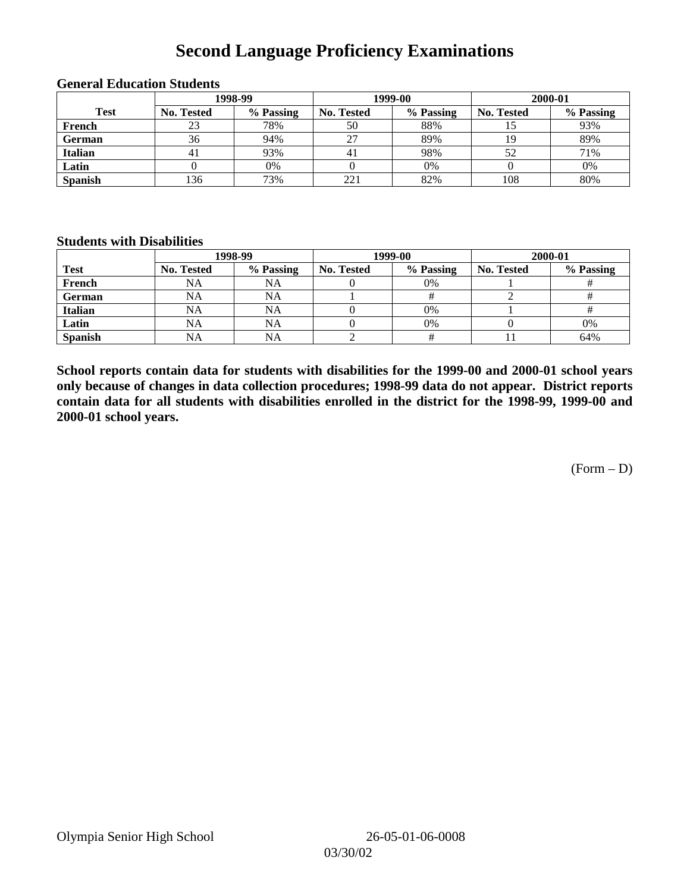# **Second Language Proficiency Examinations**

|                | 1998-99    |           |                   | 1999-00   | 2000-01           |           |  |
|----------------|------------|-----------|-------------------|-----------|-------------------|-----------|--|
| <b>Test</b>    | No. Tested | % Passing | <b>No. Tested</b> | % Passing | <b>No. Tested</b> | % Passing |  |
| French         | 23         | 78%       | 50                | 88%       |                   | 93%       |  |
| <b>German</b>  | 36         | 94%       | 27                | 89%       |                   | 89%       |  |
| <b>Italian</b> |            | 93%       | 4.                | 98%       | 52                | 71%       |  |
| Latin          |            | 0%        |                   | 0%        |                   | 0%        |  |
| <b>Spanish</b> | 136        | 73%       | 221               | 82%       | 108               | 80%       |  |

#### **General Education Students**

### **Students with Disabilities**

|                | 1998-99    |           |                   | 1999-00   | 2000-01           |           |  |
|----------------|------------|-----------|-------------------|-----------|-------------------|-----------|--|
| <b>Test</b>    | No. Tested | % Passing | <b>No. Tested</b> | % Passing | <b>No. Tested</b> | % Passing |  |
| French         | <b>NA</b>  | NA        |                   | 0%        |                   |           |  |
| German         | <b>NA</b>  | NA        |                   |           |                   |           |  |
| Italian        | <b>NA</b>  | NA        |                   | 0%        |                   |           |  |
| Latin          | <b>NA</b>  | <b>NA</b> |                   | $0\%$     |                   | 0%        |  |
| <b>Spanish</b> | NA         | NA        |                   |           |                   | 64%       |  |

**School reports contain data for students with disabilities for the 1999-00 and 2000-01 school years only because of changes in data collection procedures; 1998-99 data do not appear. District reports contain data for all students with disabilities enrolled in the district for the 1998-99, 1999-00 and 2000-01 school years.**

 $(Form - D)$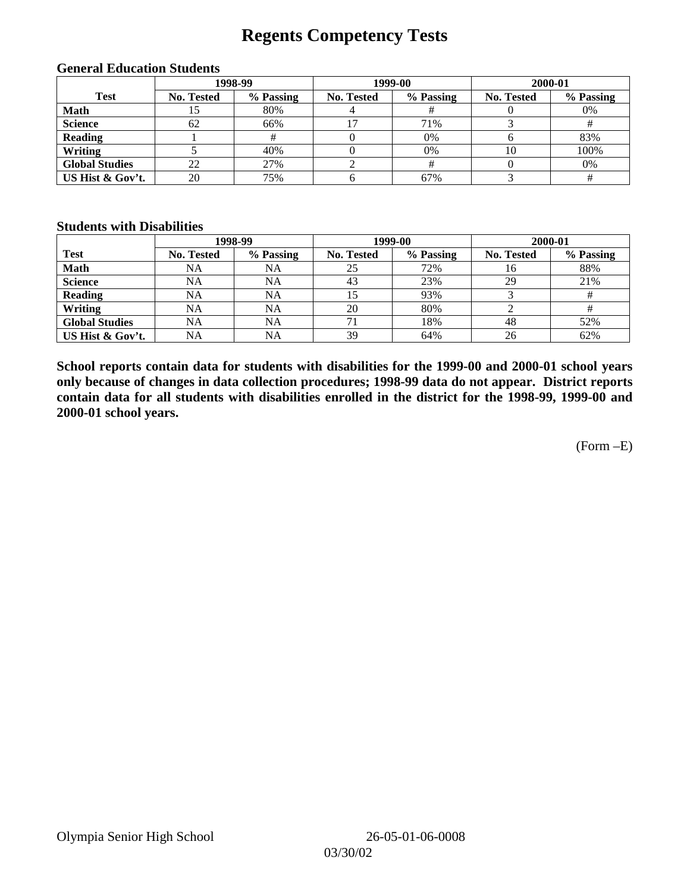# **Regents Competency Tests**

|                       | 1998-99           |           |            | 1999-00   | 2000-01           |           |  |
|-----------------------|-------------------|-----------|------------|-----------|-------------------|-----------|--|
| <b>Test</b>           | <b>No. Tested</b> | % Passing | No. Tested | % Passing | <b>No. Tested</b> | % Passing |  |
| <b>Math</b>           | IJ                | 80%       |            |           |                   | 0%        |  |
| <b>Science</b>        | 62                | 66%       |            | 71%       |                   |           |  |
| <b>Reading</b>        |                   |           |            | 0%        |                   | 83%       |  |
| Writing               |                   | 40%       |            | 0%        | 10                | 100%      |  |
| <b>Global Studies</b> | 22                | 27%       |            |           |                   | 0%        |  |
| US Hist & Gov't.      | 20                | 75%       |            | 67%       |                   |           |  |

#### **General Education Students**

### **Students with Disabilities**

|                       |                   | 1998-99   | 1999-00    |           | 2000-01           |           |
|-----------------------|-------------------|-----------|------------|-----------|-------------------|-----------|
| <b>Test</b>           | <b>No. Tested</b> | % Passing | No. Tested | % Passing | <b>No. Tested</b> | % Passing |
| <b>Math</b>           | NA                | NA        | 25         | 72%       | 16                | 88%       |
| <b>Science</b>        | NA                | <b>NA</b> | 43         | 23%       | 29                | 21%       |
| <b>Reading</b>        | NA                | <b>NA</b> | 15         | 93%       |                   | #         |
| Writing               | NA                | NA        | 20         | 80%       |                   |           |
| <b>Global Studies</b> | NA                | NA        | 71         | 18%       | 48                | 52%       |
| US Hist & Gov't.      | NA                | NA        | 39         | 64%       | 26                | 62%       |

**School reports contain data for students with disabilities for the 1999-00 and 2000-01 school years only because of changes in data collection procedures; 1998-99 data do not appear. District reports contain data for all students with disabilities enrolled in the district for the 1998-99, 1999-00 and 2000-01 school years.**

(Form –E)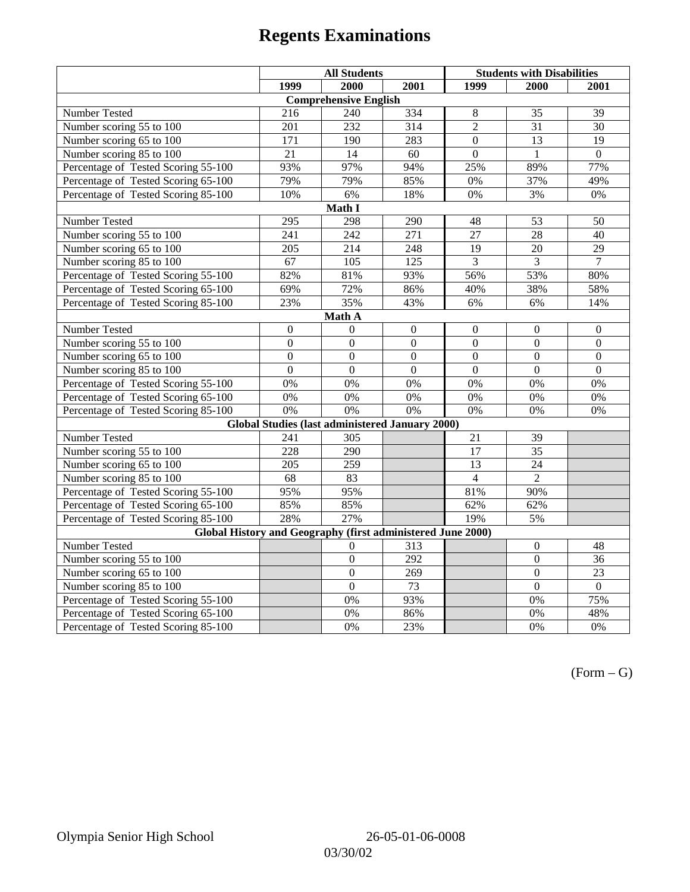|                                                             | <b>All Students</b> |                                                        |                  | <b>Students with Disabilities</b> |                  |                  |  |  |
|-------------------------------------------------------------|---------------------|--------------------------------------------------------|------------------|-----------------------------------|------------------|------------------|--|--|
|                                                             | 1999                | 2000                                                   | 2001             | 1999                              | 2000             | 2001             |  |  |
|                                                             |                     | <b>Comprehensive English</b>                           |                  |                                   |                  |                  |  |  |
| Number Tested                                               | 216                 | 240                                                    | 334              | $\,8\,$                           | 35               | 39               |  |  |
| Number scoring $55 \overline{\text{to } 100}$               | 201                 | 232                                                    | 314              | $\overline{2}$                    | 31               | 30               |  |  |
| Number scoring 65 to 100                                    | 171                 | 190                                                    | 283              | $\overline{0}$                    | $\overline{13}$  | $\overline{19}$  |  |  |
| Number scoring 85 to 100                                    | 21                  | 14                                                     | 60               | $\overline{0}$                    | $\mathbf{1}$     | $\Omega$         |  |  |
| Percentage of Tested Scoring 55-100                         | 93%                 | 97%                                                    | 94%              | 25%                               | 89%              | 77%              |  |  |
| Percentage of Tested Scoring 65-100                         | 79%                 | 79%                                                    | 85%              | 0%                                | 37%              | 49%              |  |  |
| Percentage of Tested Scoring 85-100                         | 10%                 | 6%                                                     | 18%              | $0\%$                             | 3%               | $0\%$            |  |  |
|                                                             |                     | Math I                                                 |                  |                                   |                  |                  |  |  |
| Number Tested                                               | 295                 | 298                                                    | 290              | 48                                | 53               | 50               |  |  |
| Number scoring 55 to 100                                    | $\overline{241}$    | $\overline{242}$                                       | $\overline{271}$ | $\overline{27}$                   | $\overline{28}$  | 40               |  |  |
| Number scoring 65 to 100                                    | 205                 | 214                                                    | 248              | 19                                | 20               | 29               |  |  |
| Number scoring 85 to 100                                    | 67                  | 105                                                    | 125              | 3                                 | $\overline{3}$   | 7                |  |  |
| Percentage of Tested Scoring 55-100                         | 82%                 | 81%                                                    | 93%              | 56%                               | 53%              | 80%              |  |  |
| Percentage of Tested Scoring 65-100                         | 69%                 | 72%                                                    | 86%              | 40%                               | 38%              | 58%              |  |  |
| Percentage of Tested Scoring 85-100                         | 23%                 | 35%                                                    | 43%              | 6%                                | 6%               | 14%              |  |  |
| Math A                                                      |                     |                                                        |                  |                                   |                  |                  |  |  |
| Number Tested                                               | $\boldsymbol{0}$    | $\Omega$                                               | $\boldsymbol{0}$ | $\boldsymbol{0}$                  | $\boldsymbol{0}$ | $\boldsymbol{0}$ |  |  |
| Number scoring $5\overline{5}$ to $100$                     | $\mathbf{0}$        | $\mathbf{0}$                                           | $\overline{0}$   | $\overline{0}$                    | $\mathbf{0}$     | $\mathbf{0}$     |  |  |
| Number scoring 65 to 100                                    | $\mathbf{0}$        | $\mathbf{0}$                                           | $\overline{0}$   | $\mathbf{0}$                      | $\mathbf{0}$     | $\mathbf{0}$     |  |  |
| Number scoring 85 to 100                                    | $\overline{0}$      | $\overline{0}$                                         | $\overline{0}$   | $\overline{0}$                    | $\mathbf{0}$     | $\mathbf{0}$     |  |  |
| Percentage of Tested Scoring 55-100                         | 0%                  | 0%                                                     | 0%               | 0%                                | 0%               | 0%               |  |  |
| Percentage of Tested Scoring 65-100                         | 0%                  | 0%                                                     | 0%               | 0%                                | 0%               | 0%               |  |  |
| Percentage of Tested Scoring 85-100                         | 0%                  | 0%                                                     | 0%               | 0%                                | 0%               | 0%               |  |  |
|                                                             |                     | <b>Global Studies (last administered January 2000)</b> |                  |                                   |                  |                  |  |  |
| Number Tested                                               | 241                 | 305                                                    |                  | 21                                | 39               |                  |  |  |
| Number scoring 55 to 100                                    | 228                 | 290                                                    |                  | $\overline{17}$                   | $\overline{35}$  |                  |  |  |
| Number scoring 65 to 100                                    | $\overline{205}$    | 259                                                    |                  | $\overline{13}$                   | $\overline{24}$  |                  |  |  |
| Number scoring 85 to 100                                    | 68                  | 83                                                     |                  | $\overline{4}$                    | $\overline{2}$   |                  |  |  |
| Percentage of Tested Scoring 55-100                         | 95%                 | 95%                                                    |                  | 81%                               | 90%              |                  |  |  |
| Percentage of Tested Scoring 65-100                         | 85%                 | 85%                                                    |                  | 62%                               | 62%              |                  |  |  |
| Percentage of Tested Scoring 85-100                         | 28%                 | 27%                                                    |                  | 19%                               | 5%               |                  |  |  |
| Global History and Geography (first administered June 2000) |                     |                                                        |                  |                                   |                  |                  |  |  |
| Number Tested                                               |                     | $\theta$                                               | 313              |                                   | $\mathbf{0}$     | 48               |  |  |
| Number scoring 55 to 100                                    |                     | $\mathbf{0}$                                           | 292              |                                   | $\mathbf{0}$     | 36               |  |  |
| Number scoring 65 to 100                                    |                     | $\overline{0}$                                         | $\overline{269}$ |                                   | $\overline{0}$   | $\overline{23}$  |  |  |
| Number scoring 85 to 100                                    |                     | $\overline{0}$                                         | $\overline{73}$  |                                   | $\overline{0}$   | $\Omega$         |  |  |
| Percentage of Tested Scoring 55-100                         |                     | 0%                                                     | 93%              |                                   | 0%               | 75%              |  |  |
| Percentage of Tested Scoring 65-100                         |                     | 0%                                                     | 86%              |                                   | 0%               | 48%              |  |  |
| Percentage of Tested Scoring 85-100                         |                     | 0%                                                     | 23%              |                                   | 0%               | 0%               |  |  |

 $(Form - G)$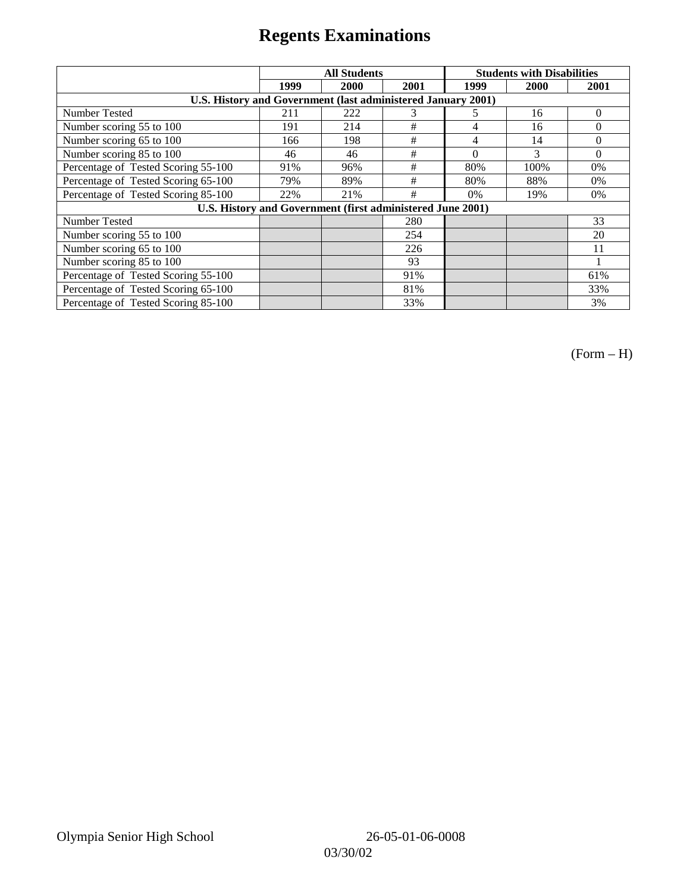|                                                              | <b>All Students</b> |                                                            |      | <b>Students with Disabilities</b> |      |          |
|--------------------------------------------------------------|---------------------|------------------------------------------------------------|------|-----------------------------------|------|----------|
|                                                              | 1999                | 2000                                                       | 2001 | 1999                              | 2000 | 2001     |
| U.S. History and Government (last administered January 2001) |                     |                                                            |      |                                   |      |          |
| Number Tested                                                | 211                 | 222                                                        | 3    | 5                                 | 16   | $\theta$ |
| Number scoring 55 to 100                                     | 191                 | 214                                                        | #    | 4                                 | 16   | $\Omega$ |
| Number scoring 65 to 100                                     | 166                 | 198                                                        | #    | 4                                 | 14   | $\Omega$ |
| Number scoring 85 to 100                                     | 46                  | 46                                                         | #    | $\Omega$                          | 3    | $\Omega$ |
| Percentage of Tested Scoring 55-100                          | 91%                 | 96%                                                        | #    | 80%                               | 100% | $0\%$    |
| Percentage of Tested Scoring 65-100                          | 79%                 | 89%                                                        | #    | 80%                               | 88%  | $0\%$    |
| Percentage of Tested Scoring 85-100                          | 22%                 | 21%                                                        | #    | $0\%$                             | 19%  | $0\%$    |
|                                                              |                     | U.S. History and Government (first administered June 2001) |      |                                   |      |          |
| Number Tested                                                |                     |                                                            | 280  |                                   |      | 33       |
| Number scoring 55 to 100                                     |                     |                                                            | 254  |                                   |      | 20       |
| Number scoring 65 to 100                                     |                     |                                                            | 226  |                                   |      | 11       |
| Number scoring 85 to 100                                     |                     |                                                            | 93   |                                   |      |          |
| Percentage of Tested Scoring 55-100                          |                     |                                                            | 91%  |                                   |      | 61%      |
| Percentage of Tested Scoring 65-100                          |                     |                                                            | 81%  |                                   |      | 33%      |
| Percentage of Tested Scoring 85-100                          |                     |                                                            | 33%  |                                   |      | 3%       |

(Form – H)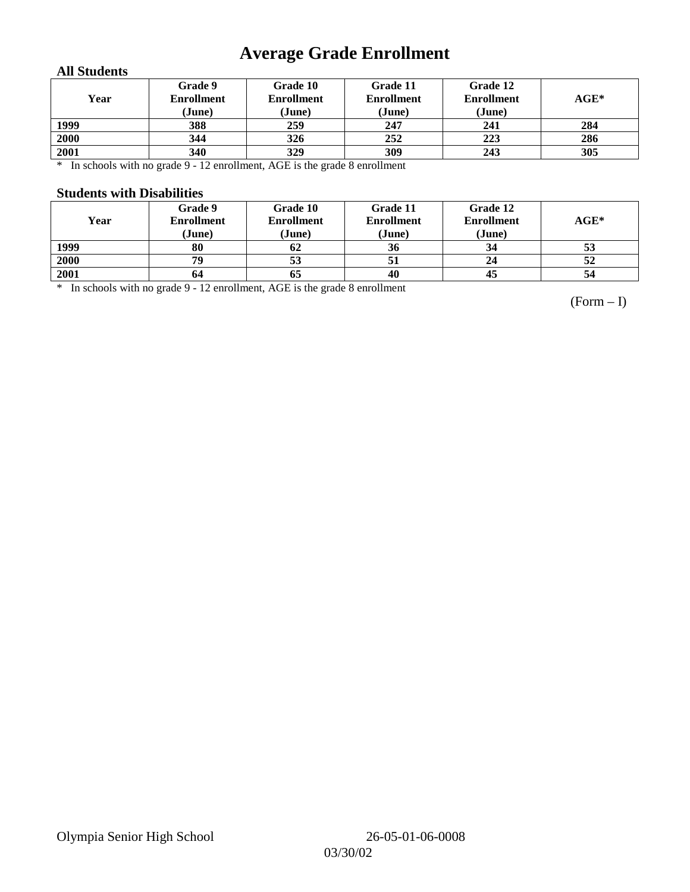# **Average Grade Enrollment**

### **All Students**

| Year | Grade 9<br><b>Enrollment</b><br>(June) | Grade 10<br><b>Enrollment</b><br>(June) | Grade 11<br><b>Enrollment</b><br>(June) | Grade 12<br><b>Enrollment</b><br>(June) | $\mathbf{AGE}^*$ |
|------|----------------------------------------|-----------------------------------------|-----------------------------------------|-----------------------------------------|------------------|
| 1999 | 388                                    | 259                                     | 247                                     | 241                                     | 284              |
| 2000 | 344                                    | 326                                     | 252                                     | 223                                     | 286              |
| 2001 | 340                                    | 329                                     | 309                                     | 243                                     | 305              |

\* In schools with no grade 9 - 12 enrollment, AGE is the grade 8 enrollment

#### **Students with Disabilities**

| Year | Grade 9<br><b>Enrollment</b><br>(June) | Grade 10<br><b>Enrollment</b><br>(June) | Grade 11<br><b>Enrollment</b><br>(June) | Grade 12<br><b>Enrollment</b><br>(June) | $AGE^*$ |
|------|----------------------------------------|-----------------------------------------|-----------------------------------------|-----------------------------------------|---------|
| 1999 | 80                                     | 62                                      | 36                                      | 34                                      | 53      |
| 2000 | 79                                     | 53                                      |                                         | 24                                      | 52      |
| 2001 | 64                                     | 05                                      | 40                                      | 45                                      | 54      |

\* In schools with no grade 9 - 12 enrollment, AGE is the grade 8 enrollment

(Form – I)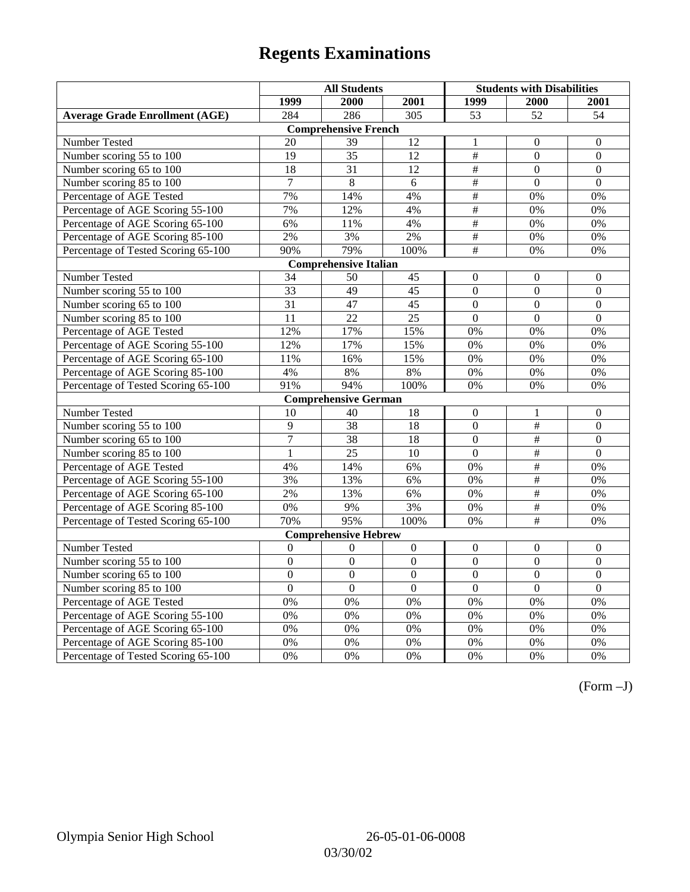|                                       | <b>All Students</b> |                              |                  | <b>Students with Disabilities</b> |                  |                  |
|---------------------------------------|---------------------|------------------------------|------------------|-----------------------------------|------------------|------------------|
|                                       | 1999                | 2000                         | 2001             | 1999                              | 2000             | 2001             |
| <b>Average Grade Enrollment (AGE)</b> | 284                 | 286                          | $\overline{305}$ | 53                                | $\overline{52}$  | $\overline{54}$  |
|                                       |                     | <b>Comprehensive French</b>  |                  |                                   |                  |                  |
| <b>Number Tested</b>                  | 20                  | 39                           | 12               | 1                                 | $\theta$         | $\mathbf{0}$     |
| Number scoring 55 to 100              | $\overline{19}$     | $\overline{35}$              | $\overline{12}$  | $\overline{\overline{H}}$         | $\Omega$         | $\mathbf{0}$     |
| Number scoring 65 to 100              | 18                  | 31                           | 12               | $\#$                              | $\mathbf{0}$     | $\mathbf{0}$     |
| Number scoring 85 to 100              | $\tau$              | $\,8\,$                      | 6                | $\frac{1}{2}$                     | $\mathbf{0}$     | $\mathbf{0}$     |
| Percentage of AGE Tested              | 7%                  | 14%                          | 4%               | $\overline{\#}$                   | 0%               | 0%               |
| Percentage of AGE Scoring 55-100      | 7%                  | 12%                          | 4%               | $\#$                              | 0%               | 0%               |
| Percentage of AGE Scoring 65-100      | 6%                  | 11%                          | 4%               | $\overline{\overline{H}}$         | 0%               | 0%               |
| Percentage of AGE Scoring 85-100      | 2%                  | 3%                           | 2%               | $\overline{\overline{H}}$         | 0%               | 0%               |
| Percentage of Tested Scoring 65-100   | 90%                 | 79%                          | 100%             | #                                 | 0%               | 0%               |
|                                       |                     | <b>Comprehensive Italian</b> |                  |                                   |                  |                  |
| Number Tested                         | 34                  | 50                           | 45               | $\overline{0}$                    | $\overline{0}$   | $\theta$         |
| Number scoring 55 to 100              | $\overline{33}$     | 49                           | 45               | $\overline{0}$                    | $\overline{0}$   | $\boldsymbol{0}$ |
| Number scoring 65 to 100              | 31                  | 47                           | 45               | $\overline{0}$                    | $\mathbf{0}$     | $\mathbf{0}$     |
| Number scoring 85 to 100              | 11                  | $\overline{22}$              | 25               | $\overline{0}$                    | $\overline{0}$   | $\overline{0}$   |
| Percentage of AGE Tested              | 12%                 | 17%                          | 15%              | 0%                                | 0%               | 0%               |
| Percentage of AGE Scoring 55-100      | 12%                 | 17%                          | 15%              | 0%                                | 0%               | 0%               |
| Percentage of AGE Scoring 65-100      | 11%                 | 16%                          | 15%              | 0%                                | 0%               | 0%               |
| Percentage of AGE Scoring 85-100      | 4%                  | $8\%$                        | 8%               | 0%                                | 0%               | 0%               |
| Percentage of Tested Scoring 65-100   | 91%                 | 94%                          | 100%             | 0%                                | 0%               | 0%               |
|                                       |                     | <b>Comprehensive German</b>  |                  |                                   |                  |                  |
| Number Tested                         | 10                  | 40                           | 18               | $\overline{0}$                    | $\mathbf{1}$     | $\mathbf{0}$     |
| Number scoring 55 to 100              | 9                   | 38                           | 18               | $\overline{0}$                    | $\#$             | $\boldsymbol{0}$ |
| Number scoring 65 to 100              | $\overline{7}$      | 38                           | 18               | $\overline{0}$                    | #                | $\boldsymbol{0}$ |
| Number scoring 85 to 100              | $\mathbf{1}$        | $\overline{25}$              | 10               | $\overline{0}$                    | #                | $\overline{0}$   |
| Percentage of AGE Tested              | 4%                  | 14%                          | 6%               | 0%                                | $\#$             | 0%               |
| Percentage of AGE Scoring 55-100      | 3%                  | 13%                          | 6%               | 0%                                | $\#$             | 0%               |
| Percentage of AGE Scoring 65-100      | 2%                  | 13%                          | 6%               | 0%                                | #                | 0%               |
| Percentage of AGE Scoring 85-100      | 0%                  | 9%                           | 3%               | $0\%$                             | #                | 0%               |
| Percentage of Tested Scoring 65-100   | 70%                 | 95%                          | 100%             | $0\%$                             | $\#$             | 0%               |
|                                       |                     | <b>Comprehensive Hebrew</b>  |                  |                                   |                  |                  |
| Number Tested                         | $\boldsymbol{0}$    | $\theta$                     | $\boldsymbol{0}$ | $\boldsymbol{0}$                  | $\boldsymbol{0}$ | $\boldsymbol{0}$ |
| Number scoring 55 to 100              | $\boldsymbol{0}$    | $\mathbf{0}$                 | $\mathbf{0}$     | $\overline{0}$                    | $\mathbf{0}$     | $\mathbf{0}$     |
| Number scoring 65 to 100              | $\boldsymbol{0}$    | $\mathbf{0}$                 | $\mathbf{0}$     | $\overline{0}$                    | $\overline{0}$   | $\mathbf{0}$     |
| Number scoring 85 to 100              | $\overline{0}$      | $\overline{0}$               | $\overline{0}$   | $\overline{0}$                    | $\mathbf{0}$     | $\mathbf{0}$     |
| Percentage of AGE Tested              | 0%                  | 0%                           | 0%               | 0%                                | 0%               | 0%               |
| Percentage of AGE Scoring 55-100      | 0%                  | 0%                           | 0%               | 0%                                | 0%               | 0%               |
| Percentage of AGE Scoring 65-100      | 0%                  | 0%                           | 0%               | 0%                                | 0%               | 0%               |
| Percentage of AGE Scoring 85-100      | 0%                  | 0%                           | 0%               | $0\%$                             | 0%               | 0%               |
| Percentage of Tested Scoring 65-100   | 0%                  | 0%                           | 0%               | 0%                                | 0%               | 0%               |

(Form –J)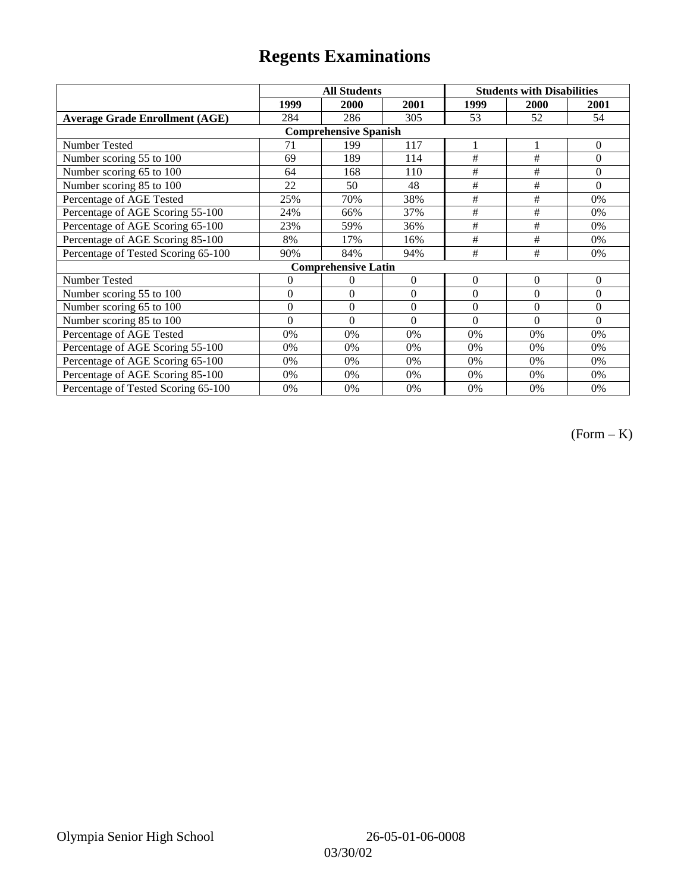|                                       | <b>All Students</b> |                            |                | <b>Students with Disabilities</b> |          |                |  |  |
|---------------------------------------|---------------------|----------------------------|----------------|-----------------------------------|----------|----------------|--|--|
|                                       | 1999                | 2000                       | 2001           | 1999                              | 2000     | 2001           |  |  |
| <b>Average Grade Enrollment (AGE)</b> | 284                 | 286                        | 305            | 53                                | 52       | 54             |  |  |
| <b>Comprehensive Spanish</b>          |                     |                            |                |                                   |          |                |  |  |
| <b>Number Tested</b>                  | 71                  | 199                        | 117            |                                   |          | $\mathbf{0}$   |  |  |
| Number scoring 55 to 100              | 69                  | 189                        | 114            | #                                 | #        | $\Omega$       |  |  |
| Number scoring 65 to 100              | 64                  | 168                        | 110            | #                                 | #        | $\Omega$       |  |  |
| Number scoring 85 to 100              | 22                  | 50                         | 48             | #                                 | #        | $\Omega$       |  |  |
| Percentage of AGE Tested              | 25%                 | 70%                        | 38%            | $\#$                              | $\#$     | 0%             |  |  |
| Percentage of AGE Scoring 55-100      | 24%                 | 66%                        | 37%            | $\#$                              | $\#$     | 0%             |  |  |
| Percentage of AGE Scoring 65-100      | 23%                 | 59%                        | 36%            | #                                 | #        | 0%             |  |  |
| Percentage of AGE Scoring 85-100      | 8%                  | 17%                        | 16%            | #                                 | #        | 0%             |  |  |
| Percentage of Tested Scoring 65-100   | 90%                 | 84%                        | 94%            | #                                 | #        | 0%             |  |  |
|                                       |                     | <b>Comprehensive Latin</b> |                |                                   |          |                |  |  |
| Number Tested                         | 0                   | 0                          | $\mathbf{0}$   | $\theta$                          | $\theta$ | $\overline{0}$ |  |  |
| Number scoring 55 to 100              | $\overline{0}$      | $\overline{0}$             | $\Omega$       | $\theta$                          | $\theta$ | $\Omega$       |  |  |
| Number scoring 65 to 100              | $\mathbf{0}$        | $\mathbf{0}$               | $\Omega$       | $\theta$                          | $\theta$ | $\Omega$       |  |  |
| Number scoring 85 to 100              | $\theta$            | $\theta$                   | $\overline{0}$ | $\theta$                          | $\theta$ | $\Omega$       |  |  |
| Percentage of AGE Tested              | 0%                  | 0%                         | $0\%$          | 0%                                | 0%       | 0%             |  |  |
| Percentage of AGE Scoring 55-100      | 0%                  | 0%                         | 0%             | 0%                                | 0%       | 0%             |  |  |
| Percentage of AGE Scoring 65-100      | 0%                  | 0%                         | 0%             | 0%                                | 0%       | 0%             |  |  |
| Percentage of AGE Scoring 85-100      | 0%                  | 0%                         | 0%             | 0%                                | 0%       | $0\%$          |  |  |
| Percentage of Tested Scoring 65-100   | 0%                  | 0%                         | 0%             | 0%                                | 0%       | $0\%$          |  |  |

(Form – K)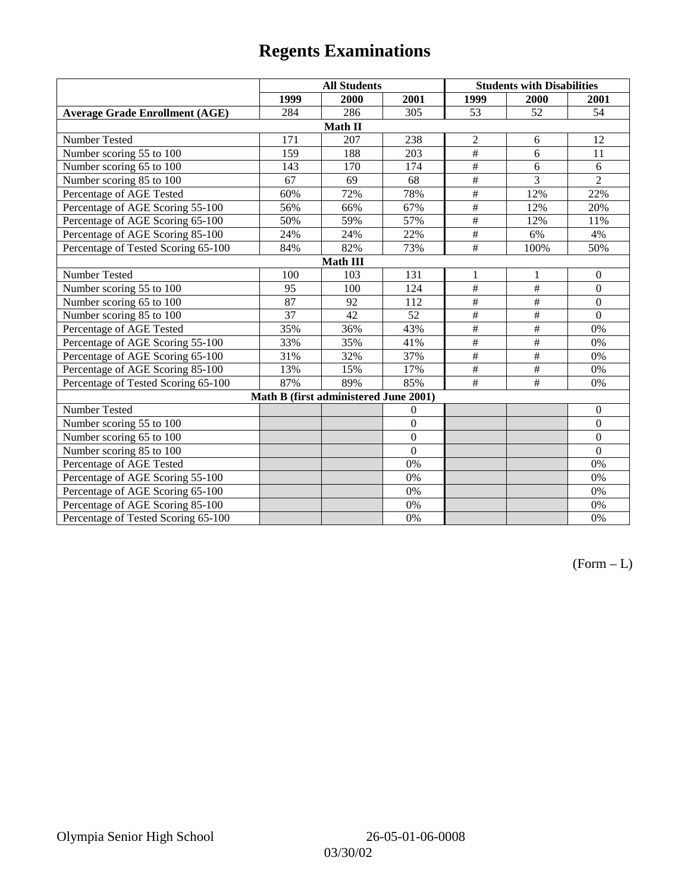|                                       | <b>All Students</b> |                                       |                | <b>Students with Disabilities</b> |                 |                |  |  |
|---------------------------------------|---------------------|---------------------------------------|----------------|-----------------------------------|-----------------|----------------|--|--|
|                                       | 1999                | 2000                                  | 2001           | 1999                              | 2000            | 2001           |  |  |
| <b>Average Grade Enrollment (AGE)</b> | 284                 | 286                                   | 305            | 53                                | 52              | 54             |  |  |
|                                       |                     | Math II                               |                |                                   |                 |                |  |  |
| Number Tested                         | 171                 | 207                                   | 238            | $\overline{c}$                    | 6               | 12             |  |  |
| Number scoring 55 to 100              | 159                 | 188                                   | 203            | #                                 | 6               | 11             |  |  |
| Number scoring 65 to 100              | 143                 | 170                                   | 174            | $\overline{\overline{t}}$         | 6               | 6              |  |  |
| Number scoring 85 to 100              | 67                  | 69                                    | 68             | #                                 | $\overline{3}$  | $\overline{2}$ |  |  |
| Percentage of AGE Tested              | 60%                 | 72%                                   | 78%            | $\overline{\#}$                   | 12%             | 22%            |  |  |
| Percentage of AGE Scoring 55-100      | 56%                 | 66%                                   | 67%            | $\overline{\#}$                   | 12%             | 20%            |  |  |
| Percentage of AGE Scoring 65-100      | 50%                 | 59%                                   | 57%            | $\frac{1}{2}$                     | 12%             | 11%            |  |  |
| Percentage of AGE Scoring 85-100      | 24%                 | 24%                                   | 22%            | $\overline{\#}$                   | 6%              | 4%             |  |  |
| Percentage of Tested Scoring 65-100   | 84%                 | 82%                                   | 73%            | $\overline{\overline{t}}$         | 100%            | 50%            |  |  |
| <b>Math III</b>                       |                     |                                       |                |                                   |                 |                |  |  |
| Number Tested                         | 100                 | 103                                   | 131            | 1                                 | 1               | $\mathbf{0}$   |  |  |
| Number scoring 55 to 100              | 95                  | 100                                   | 124            | $\#$                              | #               | $\mathbf{0}$   |  |  |
| Number scoring 65 to 100              | 87                  | 92                                    | 112            | $\frac{1}{2}$                     | $\#$            | $\mathbf{0}$   |  |  |
| Number scoring 85 to 100              | 37                  | 42                                    | 52             | $\#$                              | $\#$            | $\Omega$       |  |  |
| Percentage of AGE Tested              | 35%                 | 36%                                   | 43%            | $\frac{1}{2}$                     | $\#$            | 0%             |  |  |
| Percentage of AGE Scoring 55-100      | 33%                 | 35%                                   | 41%            | #                                 | $\overline{+}$  | 0%             |  |  |
| Percentage of AGE Scoring 65-100      | 31%                 | 32%                                   | 37%            | $\frac{1}{2}$                     | $\overline{\#}$ | 0%             |  |  |
| Percentage of AGE Scoring 85-100      | 13%                 | 15%                                   | 17%            | $\#$                              | $\overline{+}$  | 0%             |  |  |
| Percentage of Tested Scoring 65-100   | 87%                 | 89%                                   | 85%            | #                                 | #               | 0%             |  |  |
|                                       |                     | Math B (first administered June 2001) |                |                                   |                 |                |  |  |
| Number Tested                         |                     |                                       | $\theta$       |                                   |                 | $\theta$       |  |  |
| Number scoring 55 to 100              |                     |                                       | $\overline{0}$ |                                   |                 | $\theta$       |  |  |
| Number scoring 65 to 100              |                     |                                       | $\overline{0}$ |                                   |                 | $\mathbf{0}$   |  |  |
| Number scoring 85 to 100              |                     |                                       | $\theta$       |                                   |                 | $\mathbf{0}$   |  |  |
| Percentage of AGE Tested              |                     |                                       | 0%             |                                   |                 | 0%             |  |  |
| Percentage of AGE Scoring 55-100      |                     |                                       | 0%             |                                   |                 | 0%             |  |  |
| Percentage of AGE Scoring 65-100      |                     |                                       | 0%             |                                   |                 | 0%             |  |  |
| Percentage of AGE Scoring 85-100      |                     |                                       | 0%             |                                   |                 | 0%             |  |  |
| Percentage of Tested Scoring 65-100   |                     |                                       | 0%             |                                   |                 | 0%             |  |  |

 $(Form - L)$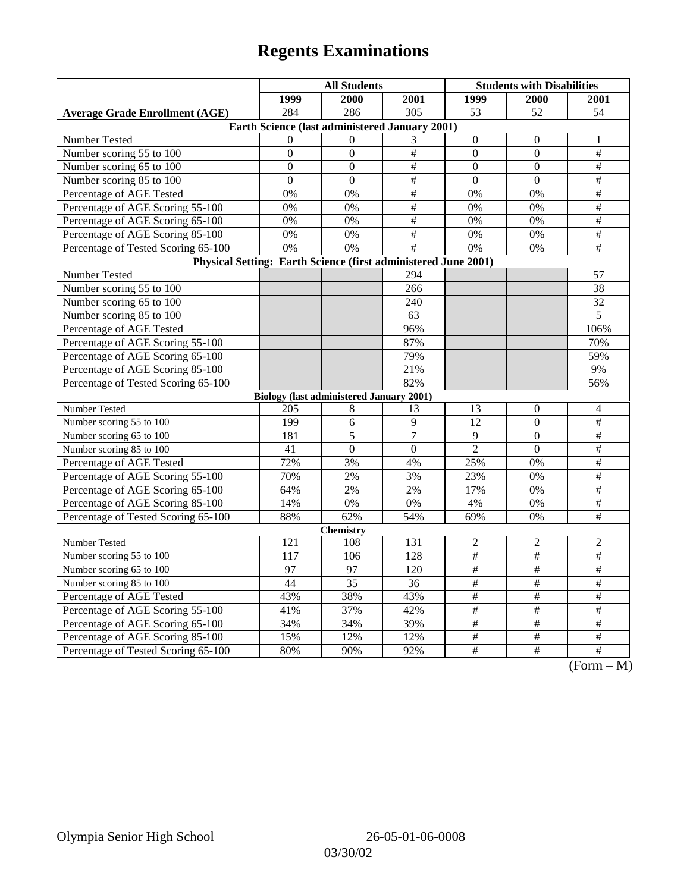|                                                                | <b>All Students</b>                             |                  |                  | <b>Students with Disabilities</b> |                  |                                                  |  |  |
|----------------------------------------------------------------|-------------------------------------------------|------------------|------------------|-----------------------------------|------------------|--------------------------------------------------|--|--|
|                                                                | 1999                                            | 2000             | 2001             | 1999                              | 2000             | 2001                                             |  |  |
| <b>Average Grade Enrollment (AGE)</b>                          | 284                                             | 286              | $\overline{305}$ | $\overline{53}$                   | $\overline{52}$  | 54                                               |  |  |
| Earth Science (last administered January 2001)                 |                                                 |                  |                  |                                   |                  |                                                  |  |  |
| Number Tested                                                  | $\Omega$                                        | $\Omega$         | 3                | $\mathbf{0}$                      | $\theta$         | 1                                                |  |  |
| Number scoring 55 to 100                                       | $\boldsymbol{0}$                                | $\boldsymbol{0}$ | $\#$             | $\mathbf{0}$                      | $\overline{0}$   | $\overline{\#}$                                  |  |  |
| Number scoring 65 to 100                                       | $\Omega$                                        | $\theta$         | $\#$             | $\Omega$                          | $\theta$         | $\overline{\ddot{}}$                             |  |  |
| Number scoring 85 to 100                                       | $\overline{0}$                                  | $\overline{0}$   | $\frac{1}{2}$    | $\overline{0}$                    | $\overline{0}$   | $\#$                                             |  |  |
| Percentage of AGE Tested                                       | 0%                                              | 0%               | $\#$             | 0%                                | 0%               | $\overline{\#}$                                  |  |  |
| Percentage of AGE Scoring 55-100                               | 0%                                              | 0%               | $\#$             | 0%                                | 0%               | $\#$                                             |  |  |
| Percentage of AGE Scoring 65-100                               | 0%                                              | 0%               | $\#$             | 0%                                | 0%               | $\overline{\#}$                                  |  |  |
| Percentage of AGE Scoring 85-100                               | 0%                                              | 0%               | #                | 0%                                | 0%               | $\#$                                             |  |  |
| Percentage of Tested Scoring 65-100                            | 0%                                              | 0%               | #                | $\overline{0\%}$                  | 0%               | $\overline{\#}$                                  |  |  |
| Physical Setting: Earth Science (first administered June 2001) |                                                 |                  |                  |                                   |                  |                                                  |  |  |
| Number Tested                                                  |                                                 |                  | 294              |                                   |                  | 57                                               |  |  |
| Number scoring 55 to 100                                       |                                                 |                  | 266              |                                   |                  | 38                                               |  |  |
| Number scoring 65 to 100                                       |                                                 |                  | 240              |                                   |                  | $\overline{32}$                                  |  |  |
| Number scoring 85 to 100                                       |                                                 |                  | 63               |                                   |                  | 5                                                |  |  |
| Percentage of AGE Tested                                       |                                                 |                  | 96%              |                                   |                  | 106%                                             |  |  |
| Percentage of AGE Scoring 55-100                               |                                                 |                  | 87%              |                                   |                  | 70%                                              |  |  |
| Percentage of AGE Scoring 65-100                               |                                                 |                  | 79%              |                                   |                  | 59%                                              |  |  |
| Percentage of AGE Scoring 85-100                               |                                                 |                  | 21%              |                                   |                  | 9%                                               |  |  |
| Percentage of Tested Scoring 65-100                            |                                                 |                  | 82%              |                                   |                  | 56%                                              |  |  |
|                                                                | <b>Biology (last administered January 2001)</b> |                  |                  |                                   |                  |                                                  |  |  |
| Number Tested                                                  | 205                                             | 8                | 13               | 13                                | $\boldsymbol{0}$ | 4                                                |  |  |
| Number scoring 55 to 100                                       | 199                                             | 6                | 9                | $\overline{12}$                   | $\overline{0}$   | $\overline{\#}$                                  |  |  |
| Number scoring 65 to 100                                       | 181                                             | 5                | $\overline{7}$   | 9                                 | $\boldsymbol{0}$ | $\#$                                             |  |  |
| Number scoring 85 to 100                                       | 41                                              | $\overline{0}$   | $\overline{0}$   | $\overline{2}$                    | $\overline{0}$   | $\#$                                             |  |  |
| Percentage of AGE Tested                                       | 72%                                             | 3%               | 4%               | 25%                               | 0%               | $\#$                                             |  |  |
| Percentage of AGE Scoring 55-100                               | 70%                                             | 2%               | 3%               | 23%                               | 0%               | $\#$                                             |  |  |
| Percentage of AGE Scoring 65-100                               | 64%                                             | 2%               | 2%               | 17%                               | 0%               | $\frac{1}{2}$                                    |  |  |
| Percentage of AGE Scoring 85-100                               | 14%                                             | 0%               | 0%               | 4%                                | 0%               | $\#$                                             |  |  |
| Percentage of Tested Scoring 65-100                            | 88%                                             | 62%              | 54%              | 69%                               | 0%               | $\overline{\#}$                                  |  |  |
| <b>Chemistry</b>                                               |                                                 |                  |                  |                                   |                  |                                                  |  |  |
| Number Tested                                                  | 121                                             | 108              | 131              | $\overline{c}$                    | $\overline{c}$   | $\overline{c}$                                   |  |  |
| Number scoring 55 to 100                                       | 117                                             | 106              | 128              | $\overline{\#}$                   | $\#$             | $\overline{+}$                                   |  |  |
| Number scoring 65 to 100                                       | 97                                              | 97               | 120              | $\overline{\#}$                   | $\#$             | $\#$                                             |  |  |
| Number scoring 85 to 100                                       | 44                                              | 35               | 36               | $\#$                              | $\#$             | $\overline{\#}$                                  |  |  |
| Percentage of AGE Tested                                       | 43%                                             | 38%              | 43%              | $\frac{1}{2}$                     | $\frac{1}{2}$    | $\frac{1}{2}$                                    |  |  |
| Percentage of AGE Scoring 55-100                               | 41%                                             | 37%              | 42%              | $\#$                              | #                | $\overline{\ddot{}}$                             |  |  |
| Percentage of AGE Scoring 65-100                               | 34%                                             | 34%              | 39%              | $\#$                              | $\#$             | $\#$                                             |  |  |
| Percentage of AGE Scoring 85-100                               | 15%                                             | 12%              | 12%              | $\#$                              | $\#$             | $\#$                                             |  |  |
| Percentage of Tested Scoring 65-100                            | 80%                                             | 90%              | 92%              | $\overline{\#}$                   | #                | $\overline{\#}$<br>$(T_{\alpha}$<br>$\mathbf{A}$ |  |  |

(Form – M)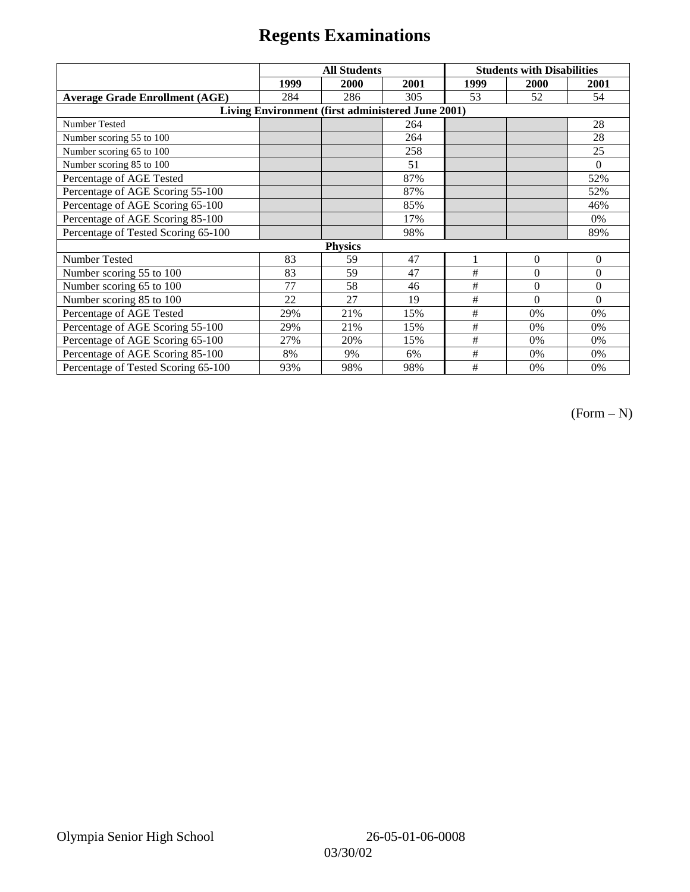|                                                   | <b>All Students</b> |      |      | <b>Students with Disabilities</b> |          |          |  |  |
|---------------------------------------------------|---------------------|------|------|-----------------------------------|----------|----------|--|--|
|                                                   | 1999                | 2000 | 2001 | 1999                              | 2000     | 2001     |  |  |
| <b>Average Grade Enrollment (AGE)</b>             | 284                 | 286  | 305  | 53                                | 52       | 54       |  |  |
| Living Environment (first administered June 2001) |                     |      |      |                                   |          |          |  |  |
| <b>Number Tested</b>                              |                     |      | 264  |                                   |          | 28       |  |  |
| Number scoring 55 to 100                          |                     |      | 264  |                                   |          | 28       |  |  |
| Number scoring 65 to 100                          |                     |      | 258  |                                   |          | 25       |  |  |
| Number scoring 85 to 100                          |                     |      | 51   |                                   |          | $\Omega$ |  |  |
| Percentage of AGE Tested                          |                     |      | 87%  |                                   |          | 52%      |  |  |
| Percentage of AGE Scoring 55-100                  |                     |      | 87%  |                                   |          | 52%      |  |  |
| Percentage of AGE Scoring 65-100                  |                     |      | 85%  |                                   |          | 46%      |  |  |
| Percentage of AGE Scoring 85-100                  |                     |      | 17%  |                                   |          | 0%       |  |  |
| Percentage of Tested Scoring 65-100               |                     |      | 98%  |                                   |          | 89%      |  |  |
| <b>Physics</b>                                    |                     |      |      |                                   |          |          |  |  |
| Number Tested                                     | 83                  | 59   | 47   |                                   | $\theta$ | $\theta$ |  |  |
| Number scoring 55 to 100                          | 83                  | 59   | 47   | #                                 | $\theta$ | $\theta$ |  |  |
| Number scoring 65 to 100                          | 77                  | 58   | 46   | #                                 | $\theta$ | $\theta$ |  |  |
| Number scoring 85 to 100                          | 22                  | 27   | 19   | #                                 | $\Omega$ | $\Omega$ |  |  |
| Percentage of AGE Tested                          | 29%                 | 21%  | 15%  | #                                 | 0%       | 0%       |  |  |
| Percentage of AGE Scoring 55-100                  | 29%                 | 21%  | 15%  | $\#$                              | 0%       | 0%       |  |  |
| Percentage of AGE Scoring 65-100                  | 27%                 | 20%  | 15%  | #                                 | 0%       | 0%       |  |  |
| Percentage of AGE Scoring 85-100                  | 8%                  | 9%   | 6%   | #                                 | $0\%$    | $0\%$    |  |  |
| Percentage of Tested Scoring 65-100               | 93%                 | 98%  | 98%  | #                                 | 0%       | 0%       |  |  |

 $(Form - N)$